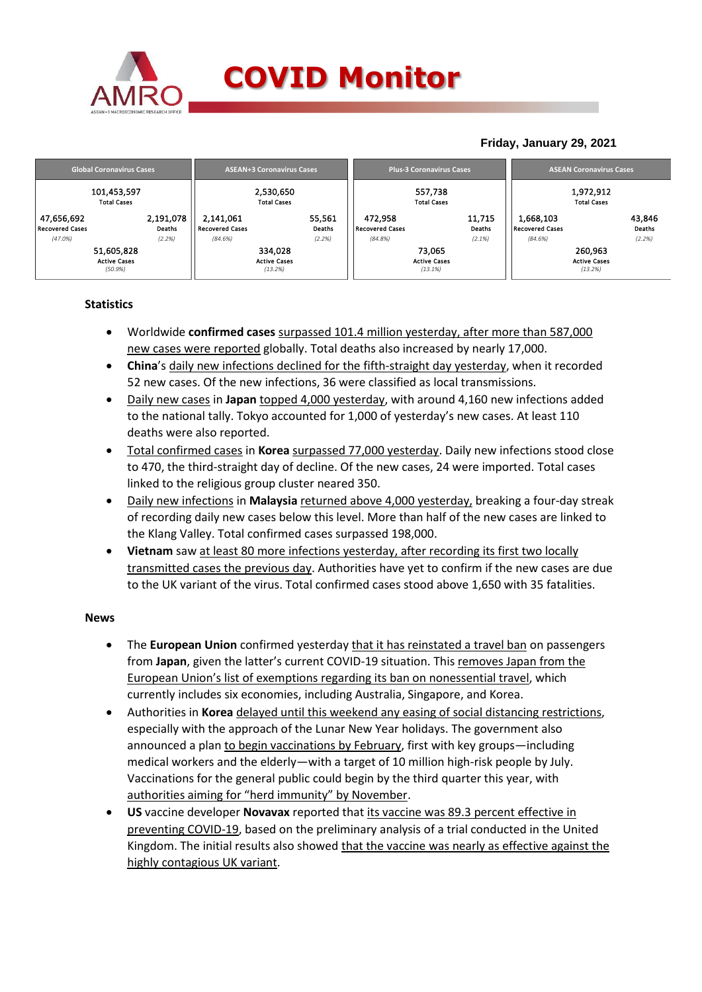

### **COVID Monitor**

### **Friday, January 29, 2021**

|                                                 | <b>Global Coronavirus Cases</b>   |                                                | <b>ASEAN+3 Coronavirus Cases</b>          |                                              | <b>Plus-3 Coronavirus Cases</b>          | <b>ASEAN Coronavirus Cases</b>            |                            |  |  |
|-------------------------------------------------|-----------------------------------|------------------------------------------------|-------------------------------------------|----------------------------------------------|------------------------------------------|-------------------------------------------|----------------------------|--|--|
|                                                 | 101,453,597<br><b>Total Cases</b> |                                                | 2,530,650<br><b>Total Cases</b>           |                                              | 557,738<br><b>Total Cases</b>            | 1,972,912<br><b>Total Cases</b>           |                            |  |  |
| 47,656,692<br><b>Recovered Cases</b><br>(47.0%) | 2,191,078<br>Deaths<br>(2.2%)     | 2,141,061<br><b>Recovered Cases</b><br>(84.6%) | 55,561<br>Deaths<br>(2.2%)                | 472,958<br><b>Recovered Cases</b><br>(84.8%) | 11,715<br>Deaths<br>(2.1%)               | 1,668,103<br>Recovered Cases<br>(84.6%)   | 43,846<br>Deaths<br>(2.2%) |  |  |
| 51,605,828<br><b>Active Cases</b><br>(50.9%)    |                                   |                                                | 334.028<br><b>Active Cases</b><br>(13.2%) |                                              | 73.065<br><b>Active Cases</b><br>(13.1%) | 260,963<br><b>Active Cases</b><br>(13.2%) |                            |  |  |

#### **Statistics**

- Worldwide **confirmed cases** surpassed 101.4 million yesterday, after more than 587,000 new cases were reported globally. Total deaths also increased by nearly 17,000.
- **China**'s daily new infections declined for the fifth-straight day yesterday, when it recorded 52 new cases. Of the new infections, 36 were classified as local transmissions.
- Daily new cases in **Japan** topped 4,000 yesterday, with around 4,160 new infections added to the national tally. Tokyo accounted for 1,000 of yesterday's new cases. At least 110 deaths were also reported.
- Total confirmed cases in **Korea** surpassed 77,000 yesterday. Daily new infections stood close to 470, the third-straight day of decline. Of the new cases, 24 were imported. Total cases linked to the religious group cluster neared 350.
- Daily new infections in **Malaysia** returned above 4,000 yesterday, breaking a four-day streak of recording daily new cases below this level. More than half of the new cases are linked to the Klang Valley. Total confirmed cases surpassed 198,000.
- **Vietnam** saw at least 80 more infections yesterday, after recording its first two locally transmitted cases the previous day. Authorities have yet to confirm if the new cases are due to the UK variant of the virus. Total confirmed cases stood above 1,650 with 35 fatalities.

#### **News**

- The **European Union** confirmed yesterday that it has reinstated a travel ban on passengers from **Japan**, given the latter's current COVID-19 situation. This removes Japan from the European Union's list of exemptions regarding its ban on nonessential travel, which currently includes six economies, including Australia, Singapore, and Korea.
- Authorities in **Korea** delayed until this weekend any easing of social distancing restrictions, especially with the approach of the Lunar New Year holidays. The government also announced a plan to begin vaccinations by February, first with key groups—including medical workers and the elderly—with a target of 10 million high-risk people by July. Vaccinations for the general public could begin by the third quarter this year, with authorities aiming for "herd immunity" by November.
- **US** vaccine developer **Novavax** reported that its vaccine was 89.3 percent effective in preventing COVID-19, based on the preliminary analysis of a trial conducted in the United Kingdom. The initial results also showed that the vaccine was nearly as effective against the highly contagious UK variant.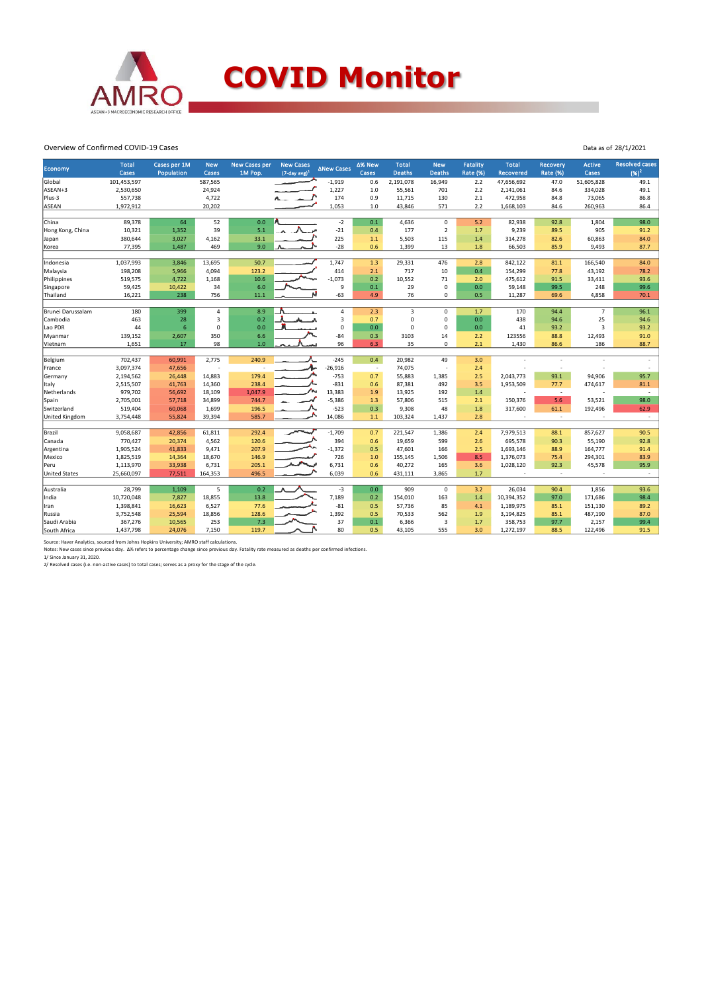

# **COVID Monitor**

Data as of 28/1/2021

#### Overview of Confirmed COVID-19 Cases

| <b>Economy</b>       | <b>Total</b><br>Cases | Cases per 1M<br><b>Population</b> | <b>New</b><br>Cases     | <b>New Cases per</b><br>1M Pop. | <b>New Cases</b><br>$(7$ -day avg) <sup>1</sup> | <b>ANew Cases</b> | Δ% New                   | <b>Total</b>  | <b>New</b>     | <b>Fatality</b> | <b>Total</b>             | Recovery                 | <b>Active</b>           | <b>Resolved cases</b>    |
|----------------------|-----------------------|-----------------------------------|-------------------------|---------------------------------|-------------------------------------------------|-------------------|--------------------------|---------------|----------------|-----------------|--------------------------|--------------------------|-------------------------|--------------------------|
|                      |                       |                                   |                         |                                 |                                                 |                   | Cases                    | <b>Deaths</b> | <b>Deaths</b>  | <b>Rate (%)</b> | <b>Recovered</b>         | <b>Rate (%)</b>          | Cases                   | $(96)^2$                 |
| Global               | 101,453,597           |                                   | 587,565                 |                                 |                                                 | $-1,919$          | 0.6                      | 2,191,078     | 16,949         | 2.2             | 47,656,692               | 47.0                     | 51,605,828              | 49.1                     |
| ASEAN+3              | 2,530,650             |                                   | 24,924                  |                                 |                                                 | 1,227             | $1.0$                    | 55,561        | 701            | 2.2             | 2,141,061                | 84.6                     | 334,028                 | 49.1                     |
| Plus-3               | 557,738               |                                   | 4,722                   |                                 |                                                 | 174               | 0.9                      | 11,715        | 130            | 2.1             | 472,958                  | 84.8                     | 73,065                  | 86.8                     |
| ASEAN                | 1,972,912             |                                   | 20,202                  |                                 |                                                 | 1,053             | 1.0                      | 43,846        | 571            | 2.2             | 1,668,103                | 84.6                     | 260,963                 | 86.4                     |
|                      |                       |                                   |                         |                                 |                                                 |                   |                          |               |                |                 |                          |                          |                         |                          |
| China                | 89,378                | 64                                | 52                      | 0.0                             |                                                 | $-2$              | 0.1                      | 4,636         | $\mathbf 0$    | 5.2             | 82,938                   | 92.8                     | 1,804                   | 98.0                     |
| Hong Kong, China     | 10,321                | 1,352                             | 39                      | 5.1                             |                                                 | $-21$             | 0.4                      | 177           | $\overline{2}$ | 1.7             | 9,239                    | 89.5                     | 905                     | 91.2                     |
| Japan                | 380,644               | 3,027                             | 4,162                   | 33.1                            |                                                 | 225               | $1.1\,$                  | 5,503         | 115            | 1.4             | 314,278                  | 82.6                     | 60,863                  | 84.0                     |
| Korea                | 77,395                | 1,487                             | 469                     | 9.0                             |                                                 | $-28$             | 0.6                      | 1,399         | 13             | 1.8             | 66,503                   | 85.9                     | 9,493                   | 87.7                     |
|                      |                       |                                   |                         |                                 |                                                 |                   |                          |               |                |                 |                          |                          |                         |                          |
| Indonesia            | 1,037,993             | 3,846                             | 13,695                  | 50.7                            |                                                 | 1,747             | 1.3                      | 29,331        | 476            | 2.8             | 842,122                  | 81.1                     | 166,540                 | 84.0                     |
| Malaysia             | 198,208               | 5,966                             | 4,094                   | 123.2                           |                                                 | 414               | 2.1                      | 717           | 10             | 0.4             | 154,299                  | 77.8                     | 43,192                  | 78.2                     |
| Philippines          | 519,575               | 4,722                             | 1,168                   | 10.6                            |                                                 | $-1,073$          | 0.2                      | 10,552        | 71             | 2.0             | 475,612                  | 91.5                     | 33,411                  | 93.6                     |
| Singapore            | 59,425                | 10,422                            | 34                      | 6.0                             |                                                 | 9                 | $0.1\,$                  | 29            | 0              | 0.0             | 59,148                   | 99.5                     | 248                     | 99.6                     |
| Thailand             | 16,221                | 238                               | 756                     | 11.1                            |                                                 | $-63$             | 4.9                      | 76            | 0              | 0.5             | 11,287                   | 69.6                     | 4,858                   | 70.1                     |
| Brunei Darussalam    | 180                   | 399                               | 4                       | 8.9                             |                                                 | $\overline{4}$    | 2.3                      | 3             | 0              | 1.7             | 170                      | 94.4                     | $\overline{7}$          | 96.1                     |
| Cambodia             | 463                   | 28                                | $\overline{\mathbf{3}}$ | 0.2                             |                                                 | 3                 | 0.7                      | $\mathbf 0$   | $\Omega$       | 0.0             | 438                      | 94.6                     | 25                      | 94.6                     |
| Lao PDR              | 44                    | 6                                 | $\mathbf 0$             | 0.0                             |                                                 | $\mathbf 0$       | 0.0                      | $\mathbf 0$   | 0              | 0.0             | 41                       | 93.2                     | $\overline{\mathbf{3}}$ | 93.2                     |
| Myanmar              | 139,152               | 2,607                             | 350                     | 6.6                             |                                                 | $-84$             | 0.3                      | 3103          | 14             | 2.2             | 123556                   | 88.8                     | 12,493                  | 91.0                     |
| Vietnam              | 1,651                 | 17                                | 98                      | 1.0                             |                                                 | 96                | 6.3                      | 35            | 0              | 2.1             | 1,430                    | 86.6                     | 186                     | 88.7                     |
|                      |                       |                                   |                         |                                 |                                                 |                   |                          |               |                |                 |                          |                          |                         |                          |
| Belgium              | 702,437               | 60,991                            | 2,775                   | 240.9                           |                                                 | $-245$            | 0.4                      | 20,982        | 49             | 3.0             |                          |                          |                         |                          |
| France               | 3,097,374             | 47,656                            | ٠                       |                                 |                                                 | $-26,916$         | $\overline{\phantom{a}}$ | 74,075        |                | 2.4             |                          | $\overline{\phantom{a}}$ |                         |                          |
| Germany              | 2,194,562             | 26,448                            | 14,883                  | 179.4                           |                                                 | $-753$            | 0.7                      | 55,883        | 1,385          | 2.5             | 2,043,773                | 93.1                     | 94,906                  | 95.7                     |
| Italy                | 2,515,507             | 41,763                            | 14,360                  | 238.4                           |                                                 | $-831$            | 0.6                      | 87,381        | 492            | 3.5             | 1,953,509                | 77.7                     | 474,617                 | 81.1                     |
| Netherlands          | 979,702               | 56,692                            | 18,109                  | 1,047.9                         |                                                 | 13,383            | 1.9                      | 13,925        | 192            | 1.4             | ÷,                       | $\sim$                   |                         | $\overline{\phantom{a}}$ |
| Spain                | 2,705,001             | 57,718                            | 34,899                  | 744.7                           |                                                 | $-5,386$          | 1.3                      | 57,806        | 515            | 2.1             | 150,376                  | 5.6                      | 53,521                  | 98.0                     |
| Switzerland          | 519,404               | 60,068                            | 1,699                   | 196.5                           |                                                 | $-523$            | 0.3                      | 9,308         | 48             | 1.8             | 317,600                  | 61.1                     | 192,496                 | 62.9                     |
| United Kingdom       | 3,754,448             | 55,824                            | 39,394                  | 585.7                           | ∽                                               | 14,086            | 1.1                      | 103,324       | 1,437          | 2.8             | $\overline{\phantom{a}}$ | $\sim$                   | $\sim$                  | $\sim$                   |
|                      |                       |                                   |                         |                                 |                                                 |                   |                          |               |                |                 |                          |                          |                         |                          |
| Brazil               | 9,058,687             | 42,856                            | 61,811                  | 292.4                           |                                                 | $-1,709$          | 0.7                      | 221,547       | 1,386          | 2.4             | 7,979,513                | 88.1                     | 857,627                 | 90.5                     |
| Canada               | 770,427               | 20,374                            | 4,562                   | 120.6                           |                                                 | 394               | 0.6                      | 19,659        | 599            | 2.6             | 695,578                  | 90.3                     | 55,190                  | 92.8                     |
| Argentina            | 1,905,524             | 41,833                            | 9,471                   | 207.9                           |                                                 | $-1,372$          | 0.5                      | 47,601        | 166            | 2.5             | 1,693,146                | 88.9                     | 164,777                 | 91.4                     |
| Mexico               | 1,825,519             | 14,364                            | 18,670                  | 146.9                           |                                                 | 726               | 1.0                      | 155,145       | 1,506          | 8.5             | 1,376,073                | 75.4                     | 294,301                 | 83.9                     |
| Peru                 | 1,113,970             | 33,938                            | 6,731                   | 205.1                           |                                                 | 6,731             | 0.6                      | 40,272        | 165            | 3.6             | 1,028,120                | 92.3                     | 45,578                  | 95.9                     |
| <b>United States</b> | 25,660,097            | 77,511                            | 164,353                 | 496.5                           |                                                 | 6,039             | 0.6                      | 431.111       | 3,865          | 1.7             | $\sim$                   | $\sim$                   |                         | $\sim$                   |
| Australia            | 28,799                | 1,109                             | 5                       | 0.2                             |                                                 | $-3$              | 0.0                      | 909           | $\mathbf 0$    | 3.2             | 26,034                   | 90.4                     | 1,856                   | 93.6                     |
| India                | 10,720,048            | 7,827                             | 18,855                  | 13.8                            |                                                 | 7,189             | 0.2                      | 154,010       | 163            | 1.4             | 10,394,352               | 97.0                     | 171,686                 | 98.4                     |
| Iran                 | 1,398,841             | 16,623                            | 6,527                   | 77.6                            |                                                 | $-81$             | 0.5                      | 57,736        | 85             | 4.1             | 1,189,975                | 85.1                     | 151,130                 | 89.2                     |
| Russia               | 3,752,548             | 25,594                            | 18,856                  | 128.6                           |                                                 | 1,392             | 0.5                      | 70,533        | 562            | 1.9             | 3,194,825                | 85.1                     | 487,190                 | 87.0                     |
| Saudi Arabia         | 367,276               | 10,565                            | 253                     | 7.3                             |                                                 | 37                | 0.1                      | 6,366         | 3              | 1.7             | 358,753                  | 97.7                     | 2,157                   | 99.4                     |
| South Africa         | 1,437,798             | 24,076                            | 7,150                   | 119.7                           |                                                 | 80                | 0.5                      | 43,105        | 555            | 3.0             | 1,272,197                | 88.5                     | 122,496                 | 91.5                     |

Source: Haver Analytics, sourced from Johns Hopkins University; AMRO staff calculations.<br>Notes: New cases since previous day. Δ% refers to percentage change since previous day. Fatality rate measured as deaths per confirm